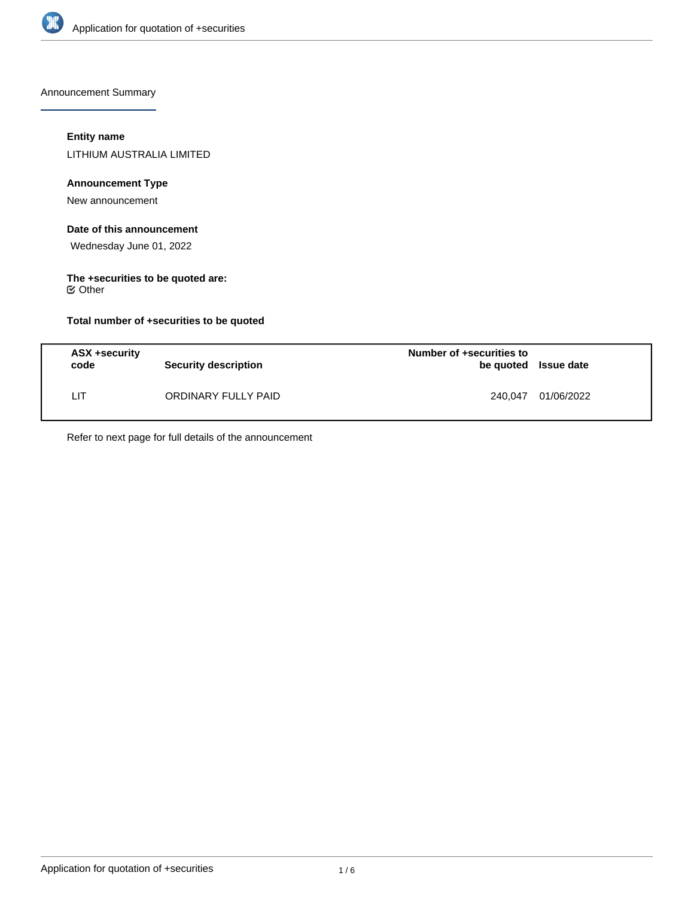

Announcement Summary

## **Entity name**

LITHIUM AUSTRALIA LIMITED

## **Announcement Type**

New announcement

# **Date of this announcement**

Wednesday June 01, 2022

#### **The +securities to be quoted are:** Other

**Total number of +securities to be quoted**

| ASX +security<br>code | <b>Security description</b> | Number of +securities to<br>be quoted Issue date |            |
|-----------------------|-----------------------------|--------------------------------------------------|------------|
| LΙT                   | ORDINARY FULLY PAID         | 240.047                                          | 01/06/2022 |

Refer to next page for full details of the announcement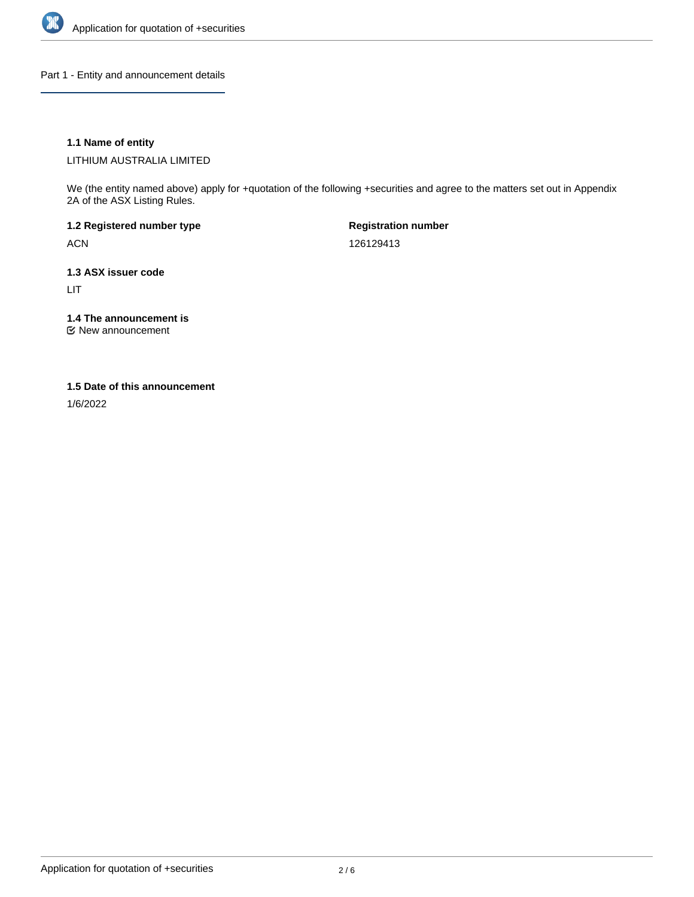

Part 1 - Entity and announcement details

### **1.1 Name of entity**

LITHIUM AUSTRALIA LIMITED

We (the entity named above) apply for +quotation of the following +securities and agree to the matters set out in Appendix 2A of the ASX Listing Rules.

**1.2 Registered number type** ACN

**Registration number** 126129413

**1.3 ASX issuer code** LIT

**1.4 The announcement is**

New announcement

### **1.5 Date of this announcement**

1/6/2022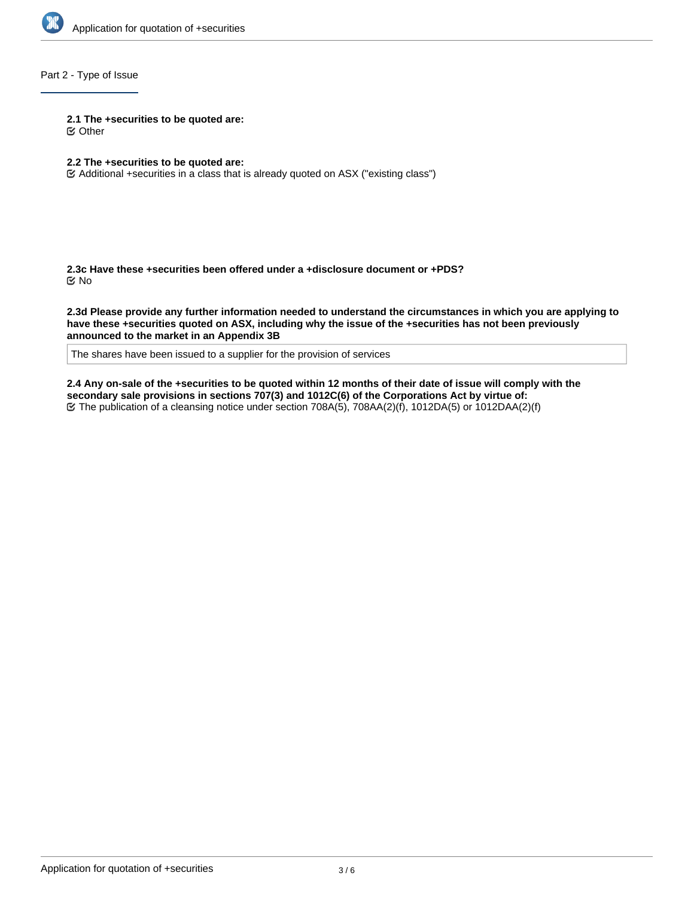

## Part 2 - Type of Issue

**2.1 The +securities to be quoted are:**

Other

## **2.2 The +securities to be quoted are:**

Additional +securities in a class that is already quoted on ASX ("existing class")

**2.3c Have these +securities been offered under a +disclosure document or +PDS?** No

**2.3d Please provide any further information needed to understand the circumstances in which you are applying to have these +securities quoted on ASX, including why the issue of the +securities has not been previously announced to the market in an Appendix 3B**

The shares have been issued to a supplier for the provision of services

**2.4 Any on-sale of the +securities to be quoted within 12 months of their date of issue will comply with the secondary sale provisions in sections 707(3) and 1012C(6) of the Corporations Act by virtue of:** The publication of a cleansing notice under section 708A(5), 708AA(2)(f), 1012DA(5) or 1012DAA(2)(f)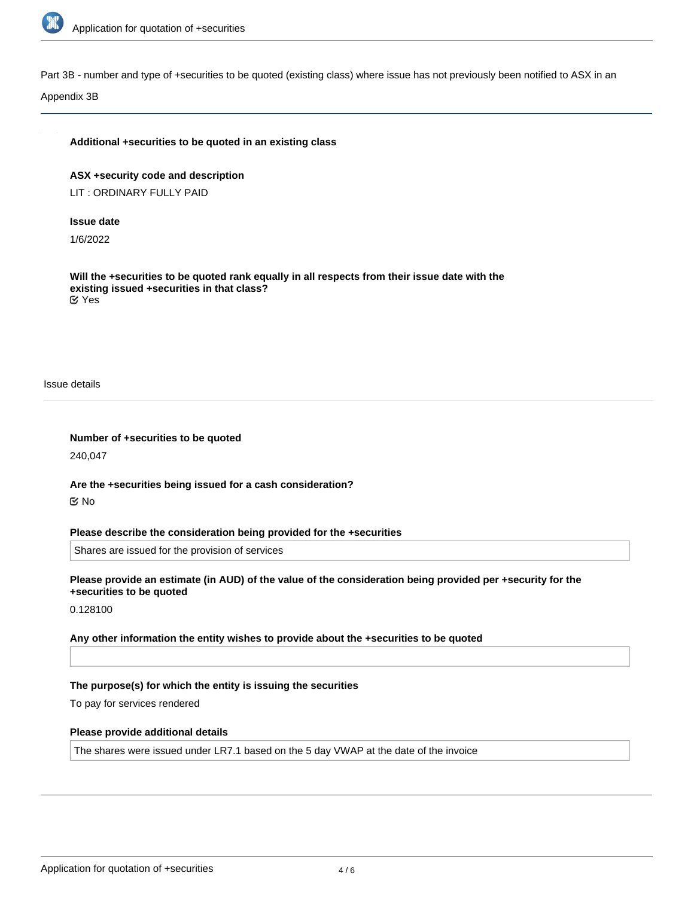

Part 3B - number and type of +securities to be quoted (existing class) where issue has not previously been notified to ASX in an

Appendix 3B

#### **Additional +securities to be quoted in an existing class**

**ASX +security code and description** LIT : ORDINARY FULLY PAID

#### **Issue date**

1/6/2022

**Will the +securities to be quoted rank equally in all respects from their issue date with the existing issued +securities in that class?** Yes

Issue details

**Number of +securities to be quoted** 240,047

**Are the +securities being issued for a cash consideration?** No

#### **Please describe the consideration being provided for the +securities**

Shares are issued for the provision of services

**Please provide an estimate (in AUD) of the value of the consideration being provided per +security for the +securities to be quoted**

0.128100

**Any other information the entity wishes to provide about the +securities to be quoted**

#### **The purpose(s) for which the entity is issuing the securities**

To pay for services rendered

#### **Please provide additional details**

The shares were issued under LR7.1 based on the 5 day VWAP at the date of the invoice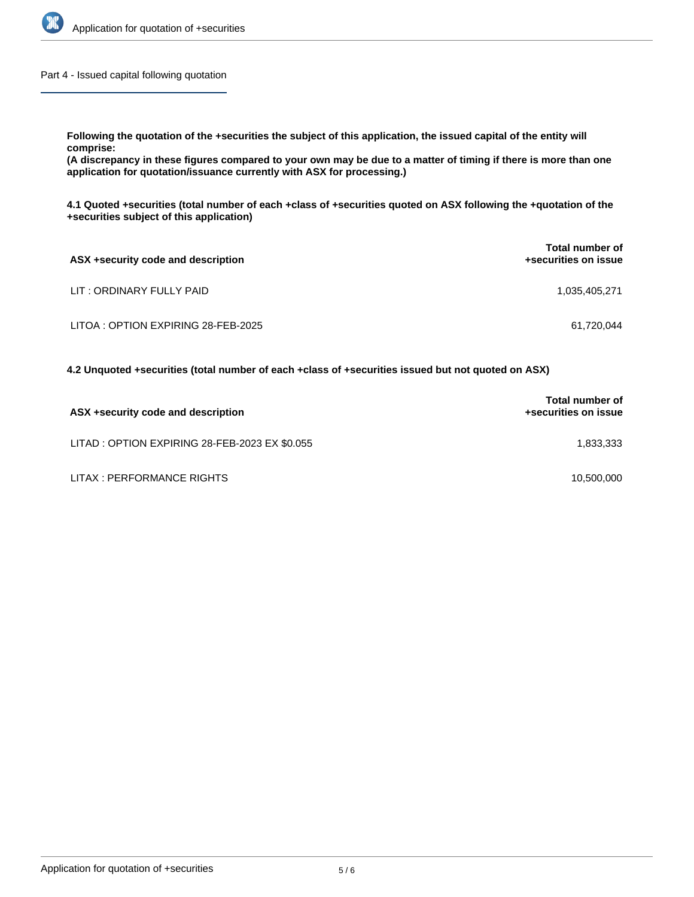

Part 4 - Issued capital following quotation

**Following the quotation of the +securities the subject of this application, the issued capital of the entity will**

**comprise:**

**(A discrepancy in these figures compared to your own may be due to a matter of timing if there is more than one application for quotation/issuance currently with ASX for processing.)**

**4.1 Quoted +securities (total number of each +class of +securities quoted on ASX following the +quotation of the +securities subject of this application)**

| ASX +security code and description  | <b>Total number of</b><br>+securities on issue |
|-------------------------------------|------------------------------------------------|
| LIT : ORDINARY FULLY PAID           | 1,035,405,271                                  |
| LITOA : OPTION EXPIRING 28-FEB-2025 | 61.720.044                                     |

**4.2 Unquoted +securities (total number of each +class of +securities issued but not quoted on ASX)**

| ASX +security code and description             | <b>Total number of</b><br>+securities on issue |
|------------------------------------------------|------------------------------------------------|
| LITAD : OPTION EXPIRING 28-FEB-2023 EX \$0.055 | 1.833.333                                      |
| LITAX : PERFORMANCE RIGHTS                     | 10,500,000                                     |